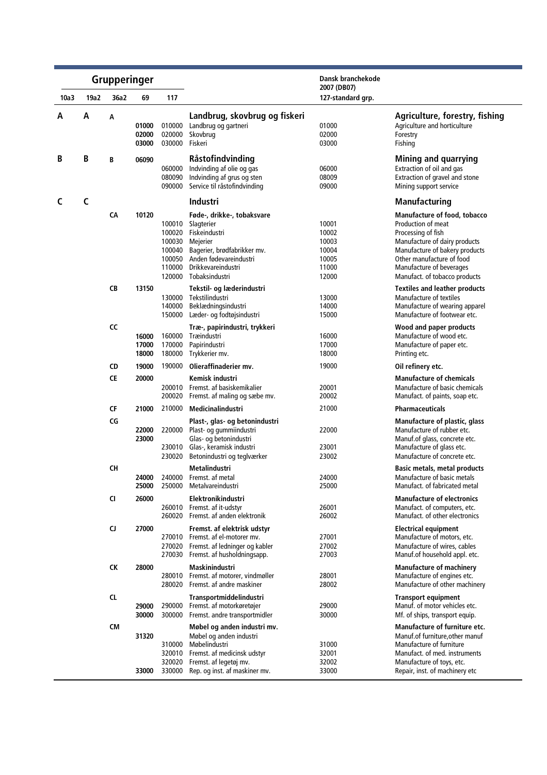|      | <b>Grupperinger</b> |           |                         |                                                          |                                                                                                                                                                               | Dansk branchekode<br>2007 (DB07)                            |                                                                                                                                                                                                                                       |
|------|---------------------|-----------|-------------------------|----------------------------------------------------------|-------------------------------------------------------------------------------------------------------------------------------------------------------------------------------|-------------------------------------------------------------|---------------------------------------------------------------------------------------------------------------------------------------------------------------------------------------------------------------------------------------|
| 10a3 | 19a2                | 36a2      | 69                      | 117                                                      |                                                                                                                                                                               | 127-standard grp.                                           |                                                                                                                                                                                                                                       |
| А    | A                   | А         | 01000<br>02000<br>03000 | 010000<br>020000<br>030000                               | Landbrug, skovbrug og fiskeri<br>Landbrug og gartneri<br>Skovbrug<br>Fiskeri                                                                                                  | 01000<br>02000<br>03000                                     | Agriculture, forestry, fishing<br>Agriculture and horticulture<br>Forestry<br>Fishing                                                                                                                                                 |
| B    | B                   | В         | 06090                   | 060000<br>080090<br>090000                               | Råstofindvinding<br>Indvinding af olie og gas<br>Indvinding af grus og sten<br>Service til råstofindvinding                                                                   | 06000<br>08009<br>09000                                     | <b>Mining and quarrying</b><br>Extraction of oil and gas<br>Extraction of gravel and stone<br>Mining support service                                                                                                                  |
| C    | C                   |           |                         |                                                          | Industri                                                                                                                                                                      |                                                             | <b>Manufacturing</b>                                                                                                                                                                                                                  |
|      |                     | CA        | 10120                   | 100020<br>100030<br>100040<br>100050<br>110000<br>120000 | Føde-, drikke-, tobaksvare<br>100010 Slagterier<br>Fiskeindustri<br>Mejerier<br>Bagerier, brødfabrikker mv.<br>Anden fødevareindustri<br>Drikkevareindustri<br>Tobaksindustri | 10001<br>10002<br>10003<br>10004<br>10005<br>11000<br>12000 | Manufacture of food, tobacco<br>Production of meat<br>Processing of fish<br>Manufacture of dairy products<br>Manufacture of bakery products<br>Other manufacture of food<br>Manufacture of beverages<br>Manufact. of tobacco products |
|      |                     | CB        | 13150                   | 130000<br>140000<br>150000                               | Tekstil- og læderindustri<br>Tekstilindustri<br>Beklædningsindustri<br>Læder- og fodtøjsindustri                                                                              | 13000<br>14000<br>15000                                     | <b>Textiles and leather products</b><br>Manufacture of textiles<br>Manufacture of wearing apparel<br>Manufacture of footwear etc.                                                                                                     |
|      |                     | CC        | 16000<br>17000<br>18000 | 160000<br>170000<br>180000                               | Træ-, papirindustri, trykkeri<br>Træindustri<br>Papirindustri<br>Trykkerier mv.                                                                                               | 16000<br>17000<br>18000                                     | Wood and paper products<br>Manufacture of wood etc.<br>Manufacture of paper etc.<br>Printing etc.                                                                                                                                     |
|      |                     | CD        | 19000                   | 190000                                                   | Olieraffinaderier mv.                                                                                                                                                         | 19000                                                       | Oil refinery etc.                                                                                                                                                                                                                     |
|      |                     | CE        | 20000                   | 200010<br>200020                                         | Kemisk industri<br>Fremst. af basiskemikalier<br>Fremst. af maling og sæbe mv.                                                                                                | 20001<br>20002                                              | <b>Manufacture of chemicals</b><br>Manufacture of basic chemicals<br>Manufact. of paints, soap etc.                                                                                                                                   |
|      |                     | CF        | 21000                   | 210000                                                   | Medicinalindustri                                                                                                                                                             | 21000                                                       | <b>Pharmaceuticals</b>                                                                                                                                                                                                                |
|      |                     | CG        | 22000<br>23000          | 220000<br>230010<br>230020                               | Plast-, glas- og betonindustri<br>Plast- og gummiindustri<br>Glas- og betonindustri<br>Glas-, keramisk industri<br>Betonindustri og teglværker                                | 22000<br>23001<br>23002                                     | Manufacture of plastic, glass<br>Manufacture of rubber etc.<br>Manuf.of glass, concrete etc.<br>Manufacture of glass etc.<br>Manufacture of concrete etc.                                                                             |
|      |                     | CН        | 24000<br>25000          | 240000<br>250000                                         | Metalindustri<br>Fremst. af metal<br>Metalvareindustri                                                                                                                        | 24000<br>25000                                              | <b>Basic metals, metal products</b><br>Manufacture of basic metals<br>Manufact, of fabricated metal                                                                                                                                   |
|      |                     | CI        | 26000                   | 260020                                                   | Elektronikindustri<br>260010 Fremst. af it-udstyr<br>Fremst. af anden elektronik                                                                                              | 26001<br>26002                                              | <b>Manufacture of electronics</b><br>Manufact. of computers, etc.<br>Manufact, of other electronics                                                                                                                                   |
|      |                     | CJ.       | 27000                   | 270010<br>270020                                         | Fremst. af elektrisk udstyr<br>Fremst. af el-motorer mv.<br>Fremst. af ledninger og kabler<br>270030 Fremst. af husholdningsapp.                                              | 27001<br>27002<br>27003                                     | <b>Electrical equipment</b><br>Manufacture of motors, etc.<br>Manufacture of wires, cables<br>Manuf.of household appl. etc.                                                                                                           |
|      |                     | <b>CK</b> | 28000                   | 280010                                                   | <b>Maskinindustri</b><br>Fremst. af motorer, vindmøller<br>280020 Fremst. af andre maskiner                                                                                   | 28001<br>28002                                              | <b>Manufacture of machinery</b><br>Manufacture of engines etc.<br>Manufacture of other machinery                                                                                                                                      |
|      |                     | <b>CL</b> | 29000<br>30000          | 290000<br>300000                                         | <b>Transportmiddelindustri</b><br>Fremst. af motorkøretøjer<br>Fremst. andre transportmidler                                                                                  | 29000<br>30000                                              | <b>Transport equipment</b><br>Manuf. of motor vehicles etc.<br>Mf. of ships, transport equip.                                                                                                                                         |
|      |                     | CM        | 31320                   | 310000<br>320010<br>320020                               | Møbel og anden industri mv.<br>Møbel og anden industri<br>Møbelindustri<br>Fremst. af medicinsk udstyr<br>Fremst. af legetøj mv.                                              | 31000<br>32001<br>32002                                     | Manufacture of furniture etc.<br>Manuf.of furniture, other manuf<br>Manufacture of furniture<br>Manufact. of med. instruments<br>Manufacture of toys, etc.                                                                            |
|      |                     |           | 33000                   |                                                          | 330000 Rep. og inst. af maskiner mv.                                                                                                                                          | 33000                                                       | Repair, inst. of machinery etc                                                                                                                                                                                                        |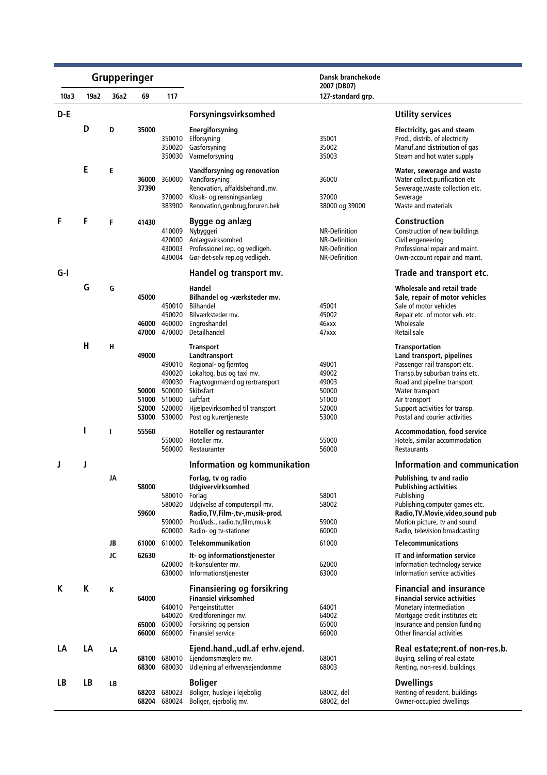|      |           | Grupperinger |                         |                                                                                      |                                                                                                                                                                                                              | Dansk branchekode                                                       |                                                                                                                                                                                                                                                             |
|------|-----------|--------------|-------------------------|--------------------------------------------------------------------------------------|--------------------------------------------------------------------------------------------------------------------------------------------------------------------------------------------------------------|-------------------------------------------------------------------------|-------------------------------------------------------------------------------------------------------------------------------------------------------------------------------------------------------------------------------------------------------------|
| 10a3 | 19a2      | 36a2         | 69                      | 117                                                                                  |                                                                                                                                                                                                              | 2007 (DB07)<br>127-standard grp.                                        |                                                                                                                                                                                                                                                             |
| D-E  |           |              |                         |                                                                                      | Forsyningsvirksomhed                                                                                                                                                                                         |                                                                         | <b>Utility services</b>                                                                                                                                                                                                                                     |
|      | D         | D            | 35000                   | 350010<br>350020<br>350030                                                           | Energiforsyning<br>Elforsyning<br>Gasforsyning<br>Varmeforsyning                                                                                                                                             | 35001<br>35002<br>35003                                                 | Electricity, gas and steam<br>Prod., distrib. of electricity<br>Manuf.and distribution of gas<br>Steam and hot water supply                                                                                                                                 |
|      | E         | E            | 36000<br>37390          | 360000<br>370000<br>383900                                                           | Vandforsyning og renovation<br>Vandforsyning<br>Renovation, affaldsbehandl.mv.<br>Kloak- og rensningsanlæg<br>Renovation, genbrug, foruren.bek                                                               | 36000<br>37000<br>38000 og 39000                                        | Water, sewerage and waste<br>Water collect.purification etc<br>Sewerage, waste collection etc.<br>Sewerage<br>Waste and materials                                                                                                                           |
| F    | F         | F            | 41430                   | 410009<br>420000<br>430003<br>430004                                                 | Bygge og anlæg<br>Nybyggeri<br>Anlægsvirksomhed<br>Professionel rep. og vedligeh.<br>Gør-det-selv rep.og vedligeh.                                                                                           | <b>NR-Definition</b><br>NR-Definition<br>NR-Definition<br>NR-Definition | <b>Construction</b><br>Construction of new buildings<br>Civil engeneering<br>Professional repair and maint.<br>Own-account repair and maint.                                                                                                                |
| G-I  |           |              |                         |                                                                                      | Handel og transport mv.                                                                                                                                                                                      |                                                                         | Trade and transport etc.                                                                                                                                                                                                                                    |
|      | G         | G            | 45000<br>46000<br>47000 | 450010<br>450020<br>460000<br>470000                                                 | Handel<br>Bilhandel og -værksteder mv.<br><b>Bilhandel</b><br>Bilværksteder mv.<br>Engroshandel<br>Detailhandel                                                                                              | 45001<br>45002<br>46xxx<br>47xxx                                        | Wholesale and retail trade<br>Sale, repair of motor vehicles<br>Sale of motor vehicles<br>Repair etc. of motor veh. etc.<br>Wholesale<br>Retail sale                                                                                                        |
|      | Н         | н            | 49000<br>52000          | 490010<br>490020<br>490030<br>50000 500000<br>51000 510000<br>520000<br>53000 530000 | <b>Transport</b><br>Landtransport<br>Regional- og fjerntog<br>Lokaltog, bus og taxi mv.<br>Fragtvognmænd og rørtransport<br>Skibsfart<br>Luftfart<br>Hjælpevirksomhed til transport<br>Post og kurertjeneste | 49001<br>49002<br>49003<br>50000<br>51000<br>52000<br>53000             | <b>Transportation</b><br>Land transport, pipelines<br>Passenger rail transport etc.<br>Transp.by suburban trains etc.<br>Road and pipeline transport<br>Water transport<br>Air transport<br>Support activities for transp.<br>Postal and courier activities |
|      |           | T            | 55560                   | 550000<br>560000                                                                     | Hoteller og restauranter<br>Hoteller mv.<br>Restauranter                                                                                                                                                     | 55000<br>56000                                                          | <b>Accommodation, food service</b><br>Hotels, similar accommodation<br>Restaurants                                                                                                                                                                          |
|      | J         |              |                         |                                                                                      | Information og kommunikation                                                                                                                                                                                 |                                                                         | Information and communication                                                                                                                                                                                                                               |
|      |           | JA           | 58000<br>59600          | 580010<br>580020<br>590000<br>600000                                                 | Forlag, tv og radio<br><b>Udgivervirksomhed</b><br>Forlag<br>Udgivelse af computerspil mv.<br>Radio, TV, Film-, tv-, musik-prod.<br>Prod/uds., radio, tv, film, musik<br>Radio- og tv-stationer              | 58001<br>58002<br>59000<br>60000                                        | Publishing, tv and radio<br><b>Publishing activities</b><br>Publishing<br>Publishing, computer games etc.<br>Radio, TV. Movie, video, sound pub<br>Motion picture, tv and sound<br>Radio, television broadcasting                                           |
|      |           | JB           | 61000                   | 610000                                                                               | <b>Telekommunikation</b>                                                                                                                                                                                     | 61000                                                                   | <b>Telecommunications</b>                                                                                                                                                                                                                                   |
|      |           | JC           | 62630                   | 620000<br>630000                                                                     | It- og informationstjenester<br>It-konsulenter mv.<br>Informationstjenester                                                                                                                                  | 62000<br>63000                                                          | IT and information service<br>Information technology service<br>Information service activities                                                                                                                                                              |
| К    | K         | K            | 64000<br>65000          | 640010<br>640020<br>650000<br>66000 660000                                           | <b>Finansiering og forsikring</b><br><b>Finansiel virksomhed</b><br>Pengeinstitutter<br>Kreditforeninger mv.<br>Forsikring og pension<br>Finansiel service                                                   | 64001<br>64002<br>65000<br>66000                                        | <b>Financial and insurance</b><br><b>Financial service activities</b><br>Monetary intermediation<br>Mortgage credit institutes etc<br>Insurance and pension funding<br>Other financial activities                                                           |
| LA   | LA        | LA           | 68100                   | 680010<br>68300 680030                                                               | Ejend.hand., udl.af erhv.ejend.<br>Ejendomsmæglere mv.<br>Udlejning af erhvervsejendomme                                                                                                                     | 68001<br>68003                                                          | Real estate; rent. of non-res.b.<br>Buying, selling of real estate<br>Renting, non-resid. buildings                                                                                                                                                         |
| LB   | <b>LB</b> | LB           | 68203                   | 680023<br>68204 680024                                                               | <b>Boliger</b><br>Boliger, husleje i lejebolig<br>Boliger, ejerbolig mv.                                                                                                                                     | 68002, del<br>68002, del                                                | <b>Dwellings</b><br>Renting of resident. buildings<br>Owner-occupied dwellings                                                                                                                                                                              |